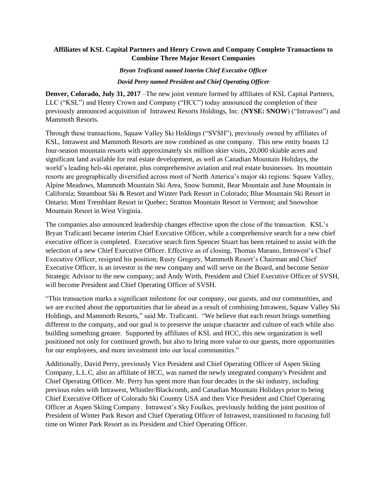## **Affiliates of KSL Capital Partners and Henry Crown and Company Complete Transactions to Combine Three Major Resort Companies**

#### *Bryan Traficanti named Interim Chief Executive Officer*

#### *David Perry named President and Chief Operating Officer*

**Denver, Colorado, July 31, 2017** –The new joint venture formed by affiliates of KSL Capital Partners, LLC ("KSL") and Henry Crown and Company ("HCC") today announced the completion of their previously announced acquisition of Intrawest Resorts Holdings, Inc. (**NYSE: SNOW**) ("Intrawest") and Mammoth Resorts.

Through these transactions, Squaw Valley Ski Holdings ("SVSH"), previously owned by affiliates of KSL, Intrawest and Mammoth Resorts are now combined as one company. This new entity boasts 12 four-season mountain resorts with approximately six million skier visits, 20,000 skiable acres and significant land available for real estate development, as well as Canadian Mountain Holidays, the world's leading heli-ski operator, plus comprehensive aviation and real estate businesses. Its mountain resorts are geographically diversified across most of North America's major ski regions: Squaw Valley, Alpine Meadows, Mammoth Mountain Ski Area, Snow Summit, Bear Mountain and June Mountain in California; Steamboat Ski & Resort and Winter Park Resort in Colorado; Blue Mountain Ski Resort in Ontario; Mont Tremblant Resort in Quebec; Stratton Mountain Resort in Vermont; and Snowshoe Mountain Resort in West Virginia.

The companies also announced leadership changes effective upon the close of the transaction. KSL's Bryan Traficanti became interim Chief Executive Officer, while a comprehensive search for a new chief executive officer is completed. Executive search firm Spencer Stuart has been retained to assist with the selection of a new Chief Executive Officer. Effective as of closing, Thomas Marano, Intrawest's Chief Executive Officer, resigned his position; Rusty Gregory, Mammoth Resort's Chairman and Chief Executive Officer, is an investor in the new company and will serve on the Board, and become Senior Strategic Advisor to the new company; and Andy Wirth, President and Chief Executive Officer of SVSH, will become President and Chief Operating Officer of SVSH.

"This transaction marks a significant milestone for our company, our guests, and our communities, and we are excited about the opportunities that lie ahead as a result of combining Intrawest, Squaw Valley Ski Holdings, and Mammoth Resorts," said Mr. Traficanti. "We believe that each resort brings something different to the company, and our goal is to preserve the unique character and culture of each while also building something greater. Supported by affiliates of KSL and HCC, this new organization is well positioned not only for continued growth, but also to bring more value to our guests, more opportunities for our employees, and more investment into our local communities."

Additionally, David Perry, previously Vice President and Chief Operating Officer of Aspen Skiing Company, L.L.C, also an affiliate of HCC, was named the newly integrated company's President and Chief Operating Officer. Mr. Perry has spent more than four decades in the ski industry, including previous roles with Intrawest, Whistler/Blackcomb, and Canadian Mountain Holidays prior to being Chief Executive Officer of Colorado Ski Country USA and then Vice President and Chief Operating Officer at Aspen Skiing Company. Intrawest's Sky Foulkes, previously holding the joint position of President of Winter Park Resort and Chief Operating Officer of Intrawest, transitioned to focusing full time on Winter Park Resort as its President and Chief Operating Officer.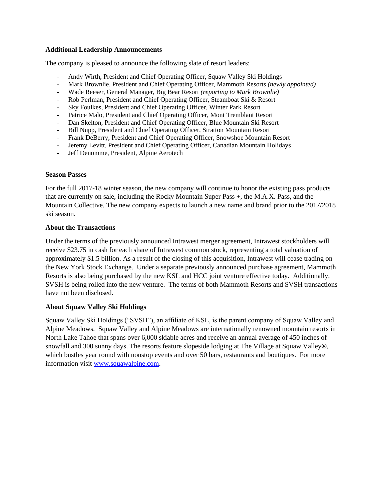#### **Additional Leadership Announcements**

The company is pleased to announce the following slate of resort leaders:

- Andy Wirth, President and Chief Operating Officer, Squaw Valley Ski Holdings
- Mark Brownlie, President and Chief Operating Officer, Mammoth Resorts *(newly appointed)*
- Wade Reeser, General Manager, Big Bear Resort *(reporting to Mark Brownlie)*
- Rob Perlman, President and Chief Operating Officer, Steamboat Ski & Resort
- Sky Foulkes, President and Chief Operating Officer, Winter Park Resort
- Patrice Malo, President and Chief Operating Officer, Mont Tremblant Resort
- Dan Skelton, President and Chief Operating Officer, Blue Mountain Ski Resort
- Bill Nupp, President and Chief Operating Officer, Stratton Mountain Resort
- Frank DeBerry, President and Chief Operating Officer, Snowshoe Mountain Resort
- Jeremy Levitt, President and Chief Operating Officer, Canadian Mountain Holidays
- Jeff Denomme, President, Alpine Aerotech

## **Season Passes**

For the full 2017-18 winter season, the new company will continue to honor the existing pass products that are currently on sale, including the Rocky Mountain Super Pass +, the M.A.X. Pass, and the Mountain Collective. The new company expects to launch a new name and brand prior to the 2017/2018 ski season.

## **About the Transactions**

Under the terms of the previously announced Intrawest merger agreement, Intrawest stockholders will receive \$23.75 in cash for each share of Intrawest common stock, representing a total valuation of approximately \$1.5 billion. As a result of the closing of this acquisition, Intrawest will cease trading on the New York Stock Exchange. Under a separate previously announced purchase agreement, Mammoth Resorts is also being purchased by the new KSL and HCC joint venture effective today. Additionally, SVSH is being rolled into the new venture. The terms of both Mammoth Resorts and SVSH transactions have not been disclosed.

# **About Squaw Valley Ski Holdings**

Squaw Valley Ski Holdings ("SVSH"), an affiliate of KSL, is the parent company of Squaw Valley and Alpine Meadows. Squaw Valley and Alpine Meadows are internationally renowned mountain resorts in North Lake Tahoe that spans over 6,000 skiable acres and receive an annual average of 450 inches of snowfall and 300 sunny days. The resorts feature slopeside lodging at The Village at Squaw Valley®, which bustles year round with nonstop events and over 50 bars, restaurants and boutiques. For more information visit [www.squawalpine.com.](http://www.squawalpine.com/)